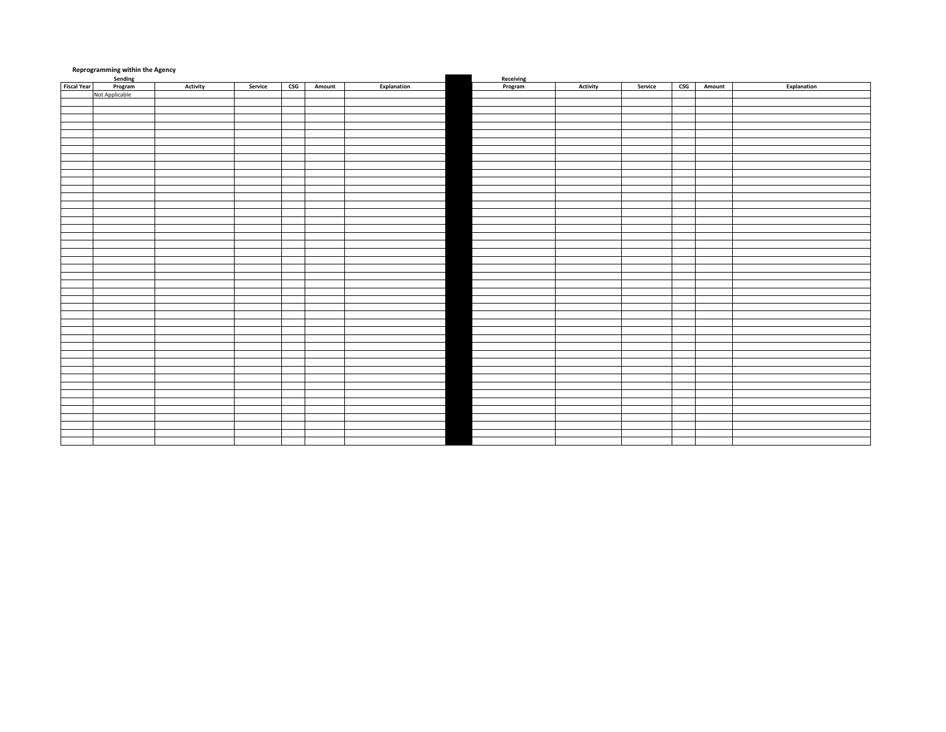| <b>Reprogramming within the Agency</b><br>Sending<br>Receiving |         |                 |         |        |        |             |         |                 |         |                           |        |             |
|----------------------------------------------------------------|---------|-----------------|---------|--------|--------|-------------|---------|-----------------|---------|---------------------------|--------|-------------|
| <b>Fiscal Year</b>                                             | Program | <b>Activity</b> | Service | $\csc$ | Amount | Explanation | Program | <b>Activity</b> | Service | $\mathsf{CSG}\phantom{0}$ | Amount | Explanation |
| Not Applicable                                                 |         |                 |         |        |        |             |         |                 |         |                           |        |             |
|                                                                |         |                 |         |        |        |             |         |                 |         |                           |        |             |
|                                                                |         |                 |         |        |        |             |         |                 |         |                           |        |             |
|                                                                |         |                 |         |        |        |             |         |                 |         |                           |        |             |
|                                                                |         |                 |         |        |        |             |         |                 |         |                           |        |             |
|                                                                |         |                 |         |        |        |             |         |                 |         |                           |        |             |
|                                                                |         |                 |         |        |        |             |         |                 |         |                           |        |             |
|                                                                |         |                 |         |        |        |             |         |                 |         |                           |        |             |
|                                                                |         |                 |         |        |        |             |         |                 |         |                           |        |             |
|                                                                |         |                 |         |        |        |             |         |                 |         |                           |        |             |
|                                                                |         |                 |         |        |        |             |         |                 |         |                           |        |             |
|                                                                |         |                 |         |        |        |             |         |                 |         |                           |        |             |
|                                                                |         |                 |         |        |        |             |         |                 |         |                           |        |             |
|                                                                |         |                 |         |        |        |             |         |                 |         |                           |        |             |
|                                                                |         |                 |         |        |        |             |         |                 |         |                           |        |             |
|                                                                |         |                 |         |        |        |             |         |                 |         |                           |        |             |
|                                                                |         |                 |         |        |        |             |         |                 |         |                           |        |             |
|                                                                |         |                 |         |        |        |             |         |                 |         |                           |        |             |
|                                                                |         |                 |         |        |        |             |         |                 |         |                           |        |             |
|                                                                |         |                 |         |        |        |             |         |                 |         |                           |        |             |
|                                                                |         |                 |         |        |        |             |         |                 |         |                           |        |             |
|                                                                |         |                 |         |        |        |             |         |                 |         |                           |        |             |
|                                                                |         |                 |         |        |        |             |         |                 |         |                           |        |             |
|                                                                |         |                 |         |        |        |             |         |                 |         |                           |        |             |
|                                                                |         |                 |         |        |        |             |         |                 |         |                           |        |             |
|                                                                |         |                 |         |        |        |             |         |                 |         |                           |        |             |
|                                                                |         |                 |         |        |        |             |         |                 |         |                           |        |             |
|                                                                |         |                 |         |        |        |             |         |                 |         |                           |        |             |
|                                                                |         |                 |         |        |        |             |         |                 |         |                           |        |             |
|                                                                |         |                 |         |        |        |             |         |                 |         |                           |        |             |
|                                                                |         |                 |         |        |        |             |         |                 |         |                           |        |             |
|                                                                |         |                 |         |        |        |             |         |                 |         |                           |        |             |
|                                                                |         |                 |         |        |        |             |         |                 |         |                           |        |             |
|                                                                |         |                 |         |        |        |             |         |                 |         |                           |        |             |
|                                                                |         |                 |         |        |        |             |         |                 |         |                           |        |             |
|                                                                |         |                 |         |        |        |             |         |                 |         |                           |        |             |
|                                                                |         |                 |         |        |        |             |         |                 |         |                           |        |             |
|                                                                |         |                 |         |        |        |             |         |                 |         |                           |        |             |
|                                                                |         |                 |         |        |        |             |         |                 |         |                           |        |             |
|                                                                |         |                 |         |        |        |             |         |                 |         |                           |        |             |
|                                                                |         |                 |         |        |        |             |         |                 |         |                           |        |             |
|                                                                |         |                 |         |        |        |             |         |                 |         |                           |        |             |
|                                                                |         |                 |         |        |        |             |         |                 |         |                           |        |             |
|                                                                |         |                 |         |        |        |             |         |                 |         |                           |        |             |
|                                                                |         |                 |         |        |        |             |         |                 |         |                           |        |             |
|                                                                |         |                 |         |        |        |             |         |                 |         |                           |        |             |